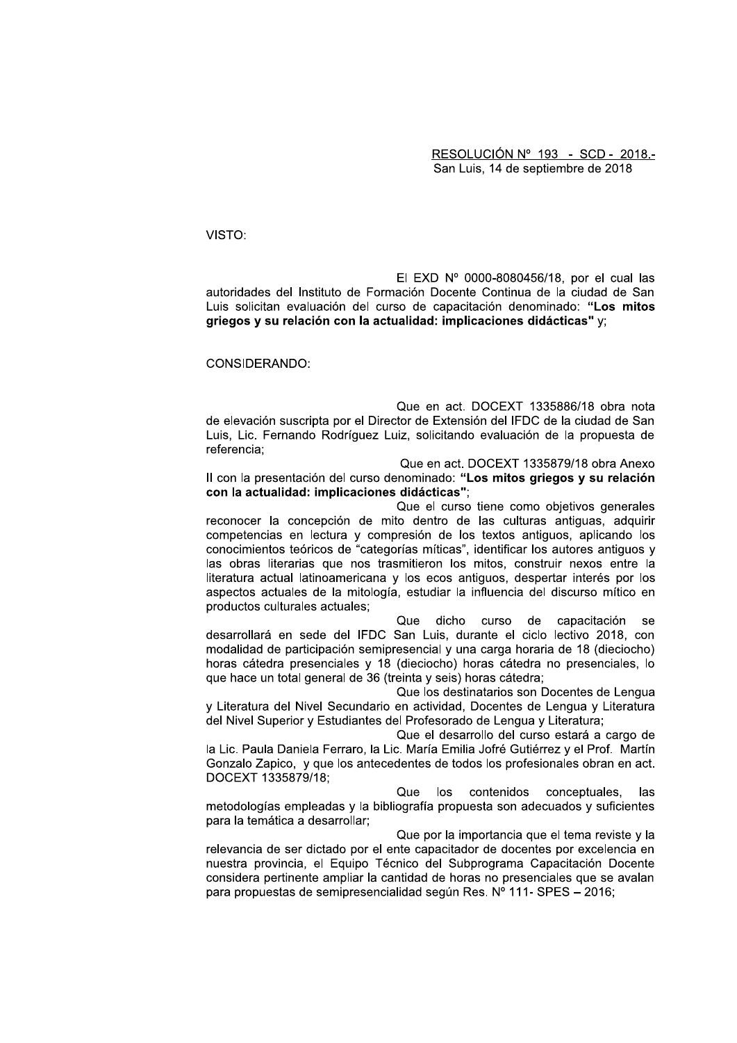RESOLUCIÓN Nº 193 - SCD - 2018.-San Luis, 14 de septiembre de 2018

VISTO:

El EXD Nº 0000-8080456/18, por el cual las autoridades del Instituto de Formación Docente Continua de la ciudad de San Luis solicitan evaluación del curso de capacitación denominado: "Los mitos griegos y su relación con la actualidad: implicaciones didácticas" y;

CONSIDERANDO:

Que en act. DOCEXT 1335886/18 obra nota de elevación suscripta por el Director de Extensión del IFDC de la ciudad de San Luis, Lic. Fernando Rodríguez Luiz, solicitando evaluación de la propuesta de referencia:

Que en act. DOCEXT 1335879/18 obra Anexo Il con la presentación del curso denominado: "Los mitos griegos y su relación con la actualidad: implicaciones didácticas";

Que el curso tiene como objetivos generales reconocer la concepción de mito dentro de las culturas antiguas, adquirir competencias en lectura y compresión de los textos antiguos, aplicando los conocimientos teóricos de "categorías míticas", identificar los autores antiguos y las obras literarias que nos trasmitieron los mitos, construir nexos entre la literatura actual latinoamericana y los ecos antiguos, despertar interés por los aspectos actuales de la mitología, estudiar la influencia del discurso mítico en productos culturales actuales:

dicho curso de capacitación Que  $S^{\alpha}$ desarrollará en sede del IFDC San Luis, durante el ciclo lectivo 2018, con modalidad de participación semipresencial y una carga horaria de 18 (dieciocho) horas cátedra presenciales y 18 (dieciocho) horas cátedra no presenciales, lo que hace un total general de 36 (treinta y seis) horas cátedra;

Que los destinatarios son Docentes de Lengua y Literatura del Nivel Secundario en actividad, Docentes de Lengua y Literatura del Nivel Superior y Estudiantes del Profesorado de Lengua y Literatura;

Que el desarrollo del curso estará a cargo de la Lic. Paula Daniela Ferraro, la Lic. María Emilia Jofré Gutiérrez y el Prof. Martín Gonzalo Zapico, y que los antecedentes de todos los profesionales obran en act. DOCEXT 1335879/18;

Que los contenidos conceptuales. las metodologías empleadas y la bibliografía propuesta son adecuados y suficientes para la temática a desarrollar;

Que por la importancia que el tema reviste y la relevancia de ser dictado por el ente capacitador de docentes por excelencia en nuestra provincia, el Equipo Técnico del Subprograma Capacitación Docente considera pertinente ampliar la cantidad de horas no presenciales que se avalan para propuestas de semipresencialidad según Res. Nº 111- SPES - 2016;